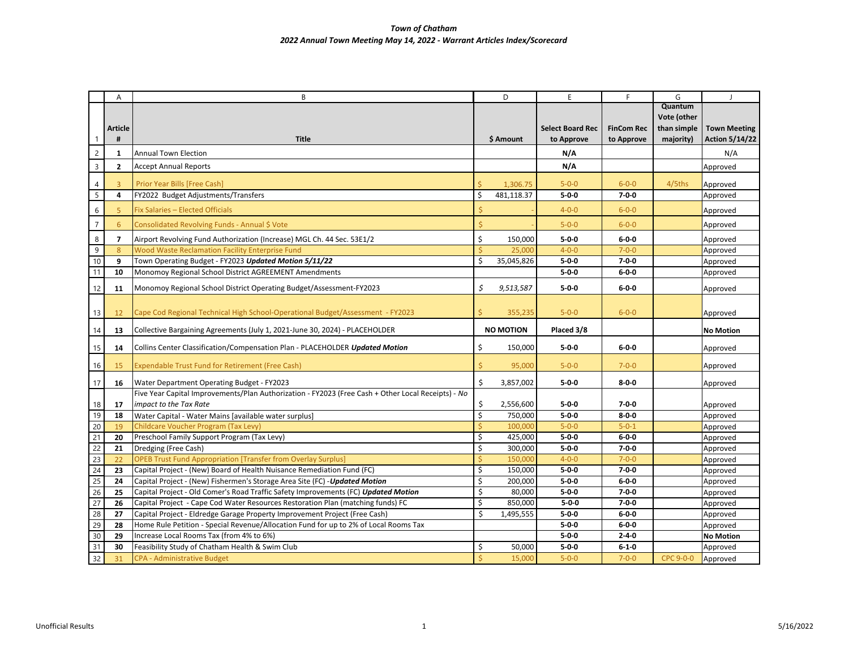## *Town of Chatham 2022 Annual Town Meeting May 14, 2022 - Warrant Articles Index/Scorecard*

|                 | A                       | B                                                                                                                                              |                    | D                  | E                          | F                          | G                | $\overline{\phantom{a}}$ |
|-----------------|-------------------------|------------------------------------------------------------------------------------------------------------------------------------------------|--------------------|--------------------|----------------------------|----------------------------|------------------|--------------------------|
|                 |                         |                                                                                                                                                |                    |                    |                            |                            | Quantum          |                          |
|                 |                         |                                                                                                                                                |                    |                    |                            |                            | Vote (other      |                          |
|                 | <b>Article</b>          |                                                                                                                                                |                    |                    | <b>Select Board Rec</b>    | <b>FinCom Rec</b>          | than simple      | <b>Town Meeting</b>      |
| 1               | #                       | <b>Title</b>                                                                                                                                   |                    | \$ Amount          | to Approve                 | to Approve                 | majority)        | <b>Action 5/14/22</b>    |
| $\overline{c}$  | $\mathbf{1}$            | Annual Town Election                                                                                                                           |                    |                    | N/A                        |                            |                  | N/A                      |
| $\overline{3}$  | $\overline{2}$          | <b>Accept Annual Reports</b>                                                                                                                   |                    |                    | N/A                        |                            |                  | Approved                 |
| 4               | $\overline{3}$          | Prior Year Bills [Free Cash]                                                                                                                   | $\zeta$            | 1,306.75           | $5 - 0 - 0$                | $6 - 0 - 0$                | 4/5ths           | Approved                 |
| 5               | 4                       | FY2022 Budget Adjustments/Transfers                                                                                                            | Ś                  | 481,118.37         | $5 - 0 - 0$                | $7 - 0 - 0$                |                  | Approved                 |
| 6               | 5                       | Fix Salaries - Elected Officials                                                                                                               | Ś                  |                    | $4 - 0 - 0$                | $6 - 0 - 0$                |                  | Approved                 |
| $\overline{7}$  | 6                       | Consolidated Revolving Funds - Annual \$ Vote                                                                                                  | $\dot{\mathsf{S}}$ |                    | $5 - 0 - 0$                | $6 - 0 - 0$                |                  | Approved                 |
| 8               | $\overline{\mathbf{z}}$ | Airport Revolving Fund Authorization (Increase) MGL Ch. 44 Sec. 53E1/2                                                                         | \$                 | 150,000            | $5 - 0 - 0$                | $6 - 0 - 0$                |                  | Approved                 |
| 9               | 8                       | <b>Wood Waste Reclamation Facility Enterprise Fund</b>                                                                                         | Ś                  | 25,000             | $4 - 0 - 0$                | $7 - 0 - 0$                |                  | Approved                 |
| 10              | 9                       | Town Operating Budget - FY2023 Updated Motion 5/11/22                                                                                          | Ś                  | 35,045,826         | $5 - 0 - 0$                | $7 - 0 - 0$                |                  | Approved                 |
| 11              | 10                      | Monomoy Regional School District AGREEMENT Amendments                                                                                          |                    |                    | $5 - 0 - 0$                | $6 - 0 - 0$                |                  | Approved                 |
| 12              | 11                      | Monomoy Regional School District Operating Budget/Assessment-FY2023                                                                            | \$                 | 9,513,587          | $5 - 0 - 0$                | $6 - 0 - 0$                |                  | Approved                 |
|                 |                         |                                                                                                                                                |                    |                    |                            |                            |                  |                          |
| 13              | 12                      | Cape Cod Regional Technical High School-Operational Budget/Assessment - FY2023                                                                 | Ś                  | 355,235            | $5 - 0 - 0$                | $6 - 0 - 0$                |                  | Approved                 |
| 14              | 13                      | Collective Bargaining Agreements (July 1, 2021-June 30, 2024) - PLACEHOLDER                                                                    |                    | <b>NO MOTION</b>   | Placed 3/8                 |                            |                  | <b>No Motion</b>         |
| 15              | 14                      | Collins Center Classification/Compensation Plan - PLACEHOLDER Updated Motion                                                                   | \$                 | 150,000            | $5 - 0 - 0$                | $6 - 0 - 0$                |                  | Approved                 |
|                 |                         |                                                                                                                                                |                    |                    |                            |                            |                  |                          |
| 16              | 15                      | <b>Expendable Trust Fund for Retirement (Free Cash)</b>                                                                                        | $\dot{\mathsf{S}}$ | 95,000             | $5 - 0 - 0$                | $7 - 0 - 0$                |                  | Approved                 |
| 17              | 16                      | Water Department Operating Budget - FY2023                                                                                                     | \$                 | 3,857,002          | $5 - 0 - 0$                | $8 - 0 - 0$                |                  | Approved                 |
|                 |                         | Five Year Capital Improvements/Plan Authorization - FY2023 (Free Cash + Other Local Receipts) - No                                             |                    |                    |                            |                            |                  |                          |
| 18              | 17                      | impact to the Tax Rate                                                                                                                         | \$                 | 2,556,600          | $5 - 0 - 0$                | $7 - 0 - 0$                |                  | Approved                 |
| 19              | 18                      | Water Capital - Water Mains [available water surplus]                                                                                          | \$                 | 750,000            | $5 - 0 - 0$                | $8 - 0 - 0$                |                  | Approved                 |
| 20              | 19                      | Childcare Voucher Program (Tax Levy)                                                                                                           | Ś                  | 100,000            | $5 - 0 - 0$                | $5 - 0 - 1$                |                  | Approved                 |
| 21              | 20                      | Preschool Family Support Program (Tax Levy)                                                                                                    | \$                 | 425,000            | $5 - 0 - 0$                | $6 - 0 - 0$                |                  | Approved                 |
| 22              | 21                      | Dredging (Free Cash)                                                                                                                           | \$<br>Ś            | 300,000            | $5 - 0 - 0$<br>$4 - 0 - 0$ | $7 - 0 - 0$<br>$7 - 0 - 0$ |                  | Approved                 |
| 23<br>24        | 22<br>23                | <b>OPEB Trust Fund Appropriation [Transfer from Overlay Surplus]</b><br>Capital Project - (New) Board of Health Nuisance Remediation Fund (FC) | \$                 | 150,000<br>150,000 | $5 - 0 - 0$                | $7 - 0 - 0$                |                  | Approved<br>Approved     |
| 25              | 24                      | Capital Project - (New) Fishermen's Storage Area Site (FC) - Updated Motion                                                                    | $\zeta$            | 200,000            | $5 - 0 - 0$                | $6 - 0 - 0$                |                  | Approved                 |
| $\overline{26}$ | 25                      | Capital Project - Old Comer's Road Traffic Safety Improvements (FC) Updated Motion                                                             | \$                 | 80,000             | $5 - 0 - 0$                | $7 - 0 - 0$                |                  | Approved                 |
| $\overline{27}$ | 26                      | Capital Project - Cape Cod Water Resources Restoration Plan (matching funds) FC                                                                | \$                 | 850,000            | $5 - 0 - 0$                | $7 - 0 - 0$                |                  | Approved                 |
| $\overline{28}$ | 27                      | Capital Project - Eldredge Garage Property Improvement Project (Free Cash)                                                                     | Ś                  | 1,495,555          | $5 - 0 - 0$                | $6 - 0 - 0$                |                  | Approved                 |
| 29              | 28                      | Home Rule Petition - Special Revenue/Allocation Fund for up to 2% of Local Rooms Tax                                                           |                    |                    | $5 - 0 - 0$                | $6 - 0 - 0$                |                  | Approved                 |
| 30              | 29                      | Increase Local Rooms Tax (from 4% to 6%)                                                                                                       |                    |                    | $5 - 0 - 0$                | $2 - 4 - 0$                |                  | <b>No Motion</b>         |
| 31              | 30                      | Feasibility Study of Chatham Health & Swim Club                                                                                                | \$                 | 50,000             | $5 - 0 - 0$                | $6 - 1 - 0$                |                  | Approved                 |
| 32              | 31                      | <b>CPA - Administrative Budget</b>                                                                                                             |                    | 15,000             | $5 - 0 - 0$                | $7 - 0 - 0$                | <b>CPC 9-0-0</b> | Approved                 |